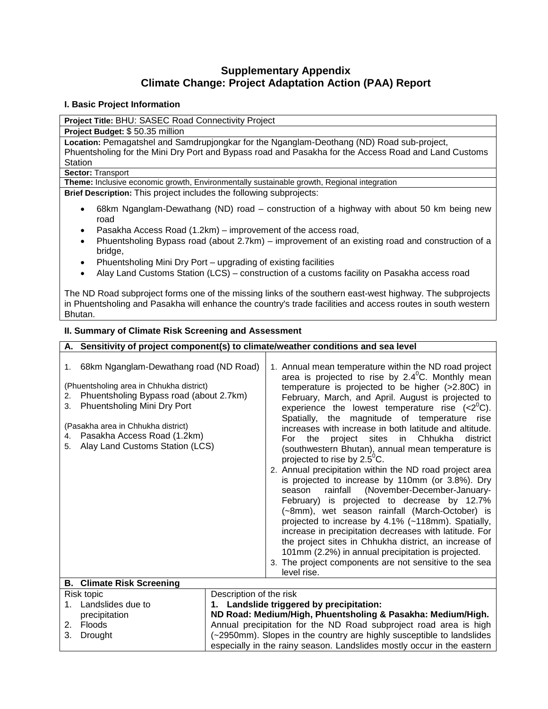# **Supplementary Appendix Climate Change: Project Adaptation Action (PAA) Report**

## **I. Basic Project Information**

**Project Title:** BHU: SASEC Road Connectivity Project

**Project Budget:** \$ 50.35 million

**Location:** Pemagatshel and Samdrupjongkar for the Nganglam-Deothang (ND) Road sub-project, Phuentsholing for the Mini Dry Port and Bypass road and Pasakha for the Access Road and Land Customs **Station** 

# **Sector:** Transport

**Theme:** Inclusive economic growth, Environmentally sustainable growth, Regional integration

**Brief Description:** This project includes the following subprojects:

- 68km Nganglam-Dewathang (ND) road construction of a highway with about 50 km being new road
- Pasakha Access Road (1.2km) improvement of the access road,
- Phuentsholing Bypass road (about 2.7km) improvement of an existing road and construction of a bridge,
- Phuentsholing Mini Dry Port upgrading of existing facilities
- Alay Land Customs Station (LCS) construction of a customs facility on Pasakha access road

The ND Road subproject forms one of the missing links of the southern east-west highway. The subprojects in Phuentsholing and Pasakha will enhance the country's trade facilities and access routes in south western Bhutan.

### **II. Summary of Climate Risk Screening and Assessment**

| A. Sensitivity of project component(s) to climate/weather conditions and sea level                                                                                                                                                                                                              |                                                             |                                                                                                                                                                                                                                                                                                                                                                                                                                                                                                                                                                                                                                                                                                                                                                                                                                                                                                                                                                                                                                                                                                                     |
|-------------------------------------------------------------------------------------------------------------------------------------------------------------------------------------------------------------------------------------------------------------------------------------------------|-------------------------------------------------------------|---------------------------------------------------------------------------------------------------------------------------------------------------------------------------------------------------------------------------------------------------------------------------------------------------------------------------------------------------------------------------------------------------------------------------------------------------------------------------------------------------------------------------------------------------------------------------------------------------------------------------------------------------------------------------------------------------------------------------------------------------------------------------------------------------------------------------------------------------------------------------------------------------------------------------------------------------------------------------------------------------------------------------------------------------------------------------------------------------------------------|
| 1. 68km Nganglam-Dewathang road (ND Road)<br>(Phuentsholing area in Chhukha district)<br>Phuentsholing Bypass road (about 2.7km)<br>2.<br>Phuentsholing Mini Dry Port<br>3.<br>(Pasakha area in Chhukha district)<br>Pasakha Access Road (1.2km)<br>4.<br>Alay Land Customs Station (LCS)<br>5. |                                                             | 1. Annual mean temperature within the ND road project<br>area is projected to rise by 2.4°C. Monthly mean<br>temperature is projected to be higher (>2.80C) in<br>February, March, and April. August is projected to<br>experience the lowest temperature rise $(2^0C).$<br>Spatially, the magnitude of temperature rise<br>increases with increase in both latitude and altitude.<br>project sites in Chhukha<br>district<br>For<br>the<br>(southwestern Bhutan), annual mean temperature is<br>projected to rise by $2.5^{\circ}$ C.<br>2. Annual precipitation within the ND road project area<br>is projected to increase by 110mm (or 3.8%). Dry<br>(November-December-January-<br>rainfall<br>season<br>February) is projected to decrease by 12.7%<br>(~8mm), wet season rainfall (March-October) is<br>projected to increase by 4.1% (~118mm). Spatially,<br>increase in precipitation decreases with latitude. For<br>the project sites in Chhukha district, an increase of<br>101mm (2.2%) in annual precipitation is projected.<br>3. The project components are not sensitive to the sea<br>level rise. |
| <b>Climate Risk Screening</b><br>В.                                                                                                                                                                                                                                                             |                                                             |                                                                                                                                                                                                                                                                                                                                                                                                                                                                                                                                                                                                                                                                                                                                                                                                                                                                                                                                                                                                                                                                                                                     |
| Risk topic                                                                                                                                                                                                                                                                                      | Description of the risk                                     |                                                                                                                                                                                                                                                                                                                                                                                                                                                                                                                                                                                                                                                                                                                                                                                                                                                                                                                                                                                                                                                                                                                     |
| Landslides due to<br>1.                                                                                                                                                                                                                                                                         | 1. Landslide triggered by precipitation:                    |                                                                                                                                                                                                                                                                                                                                                                                                                                                                                                                                                                                                                                                                                                                                                                                                                                                                                                                                                                                                                                                                                                                     |
| precipitation                                                                                                                                                                                                                                                                                   | ND Road: Medium/High, Phuentsholing & Pasakha: Medium/High. |                                                                                                                                                                                                                                                                                                                                                                                                                                                                                                                                                                                                                                                                                                                                                                                                                                                                                                                                                                                                                                                                                                                     |
| Floods<br>2.                                                                                                                                                                                                                                                                                    |                                                             | Annual precipitation for the ND Road subproject road area is high                                                                                                                                                                                                                                                                                                                                                                                                                                                                                                                                                                                                                                                                                                                                                                                                                                                                                                                                                                                                                                                   |
| 3.<br>Drought                                                                                                                                                                                                                                                                                   |                                                             | (~2950mm). Slopes in the country are highly susceptible to landslides                                                                                                                                                                                                                                                                                                                                                                                                                                                                                                                                                                                                                                                                                                                                                                                                                                                                                                                                                                                                                                               |
|                                                                                                                                                                                                                                                                                                 |                                                             | especially in the rainy season. Landslides mostly occur in the eastern                                                                                                                                                                                                                                                                                                                                                                                                                                                                                                                                                                                                                                                                                                                                                                                                                                                                                                                                                                                                                                              |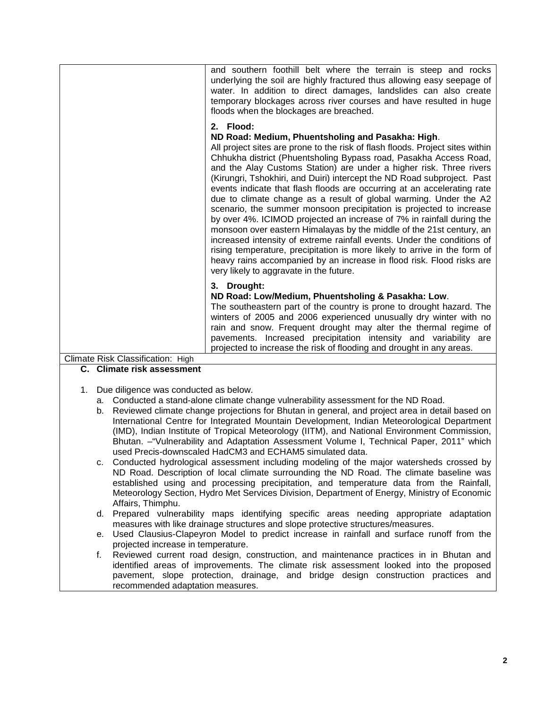|                                                                                                                                    | and southern foothill belt where the terrain is steep and rocks<br>underlying the soil are highly fractured thus allowing easy seepage of<br>water. In addition to direct damages, landslides can also create<br>temporary blockages across river courses and have resulted in huge<br>floods when the blockages are breached.                                                                                                                                                                                                                                                                                                                                                                                                                                                                                                                                                                                                                                                                                |  |  |
|------------------------------------------------------------------------------------------------------------------------------------|---------------------------------------------------------------------------------------------------------------------------------------------------------------------------------------------------------------------------------------------------------------------------------------------------------------------------------------------------------------------------------------------------------------------------------------------------------------------------------------------------------------------------------------------------------------------------------------------------------------------------------------------------------------------------------------------------------------------------------------------------------------------------------------------------------------------------------------------------------------------------------------------------------------------------------------------------------------------------------------------------------------|--|--|
|                                                                                                                                    | 2. Flood:                                                                                                                                                                                                                                                                                                                                                                                                                                                                                                                                                                                                                                                                                                                                                                                                                                                                                                                                                                                                     |  |  |
|                                                                                                                                    | ND Road: Medium, Phuentsholing and Pasakha: High.<br>All project sites are prone to the risk of flash floods. Project sites within<br>Chhukha district (Phuentsholing Bypass road, Pasakha Access Road,<br>and the Alay Customs Station) are under a higher risk. Three rivers<br>(Kirungri, Tshokhiri, and Duiri) intercept the ND Road subproject. Past<br>events indicate that flash floods are occurring at an accelerating rate<br>due to climate change as a result of global warming. Under the A2<br>scenario, the summer monsoon precipitation is projected to increase<br>by over 4%. ICIMOD projected an increase of 7% in rainfall during the<br>monsoon over eastern Himalayas by the middle of the 21st century, an<br>increased intensity of extreme rainfall events. Under the conditions of<br>rising temperature, precipitation is more likely to arrive in the form of<br>heavy rains accompanied by an increase in flood risk. Flood risks are<br>very likely to aggravate in the future. |  |  |
|                                                                                                                                    |                                                                                                                                                                                                                                                                                                                                                                                                                                                                                                                                                                                                                                                                                                                                                                                                                                                                                                                                                                                                               |  |  |
|                                                                                                                                    | 3. Drought:<br>ND Road: Low/Medium, Phuentsholing & Pasakha: Low.                                                                                                                                                                                                                                                                                                                                                                                                                                                                                                                                                                                                                                                                                                                                                                                                                                                                                                                                             |  |  |
|                                                                                                                                    | The southeastern part of the country is prone to drought hazard. The<br>winters of 2005 and 2006 experienced unusually dry winter with no<br>rain and snow. Frequent drought may alter the thermal regime of<br>pavements. Increased precipitation intensity and variability are<br>projected to increase the risk of flooding and drought in any areas.                                                                                                                                                                                                                                                                                                                                                                                                                                                                                                                                                                                                                                                      |  |  |
| Climate Risk Classification: High                                                                                                  |                                                                                                                                                                                                                                                                                                                                                                                                                                                                                                                                                                                                                                                                                                                                                                                                                                                                                                                                                                                                               |  |  |
| C. Climate risk assessment                                                                                                         |                                                                                                                                                                                                                                                                                                                                                                                                                                                                                                                                                                                                                                                                                                                                                                                                                                                                                                                                                                                                               |  |  |
|                                                                                                                                    |                                                                                                                                                                                                                                                                                                                                                                                                                                                                                                                                                                                                                                                                                                                                                                                                                                                                                                                                                                                                               |  |  |
| Due diligence was conducted as below.<br>1.<br>a. Conducted a stand-alone climate change vulnerability assessment for the ND Road. |                                                                                                                                                                                                                                                                                                                                                                                                                                                                                                                                                                                                                                                                                                                                                                                                                                                                                                                                                                                                               |  |  |
|                                                                                                                                    | b. Reviewed climate change projections for Bhutan in general, and project area in detail based on                                                                                                                                                                                                                                                                                                                                                                                                                                                                                                                                                                                                                                                                                                                                                                                                                                                                                                             |  |  |
|                                                                                                                                    | International Centre for Integrated Mountain Development, Indian Meteorological Department                                                                                                                                                                                                                                                                                                                                                                                                                                                                                                                                                                                                                                                                                                                                                                                                                                                                                                                    |  |  |
|                                                                                                                                    | (IMD), Indian Institute of Tropical Meteorology (IITM), and National Environment Commission,                                                                                                                                                                                                                                                                                                                                                                                                                                                                                                                                                                                                                                                                                                                                                                                                                                                                                                                  |  |  |
|                                                                                                                                    | Bhutan. - "Vulnerability and Adaptation Assessment Volume I, Technical Paper, 2011" which<br>used Precis-downscaled HadCM3 and ECHAM5 simulated data.                                                                                                                                                                                                                                                                                                                                                                                                                                                                                                                                                                                                                                                                                                                                                                                                                                                         |  |  |
| c.                                                                                                                                 | Conducted hydrological assessment including modeling of the major watersheds crossed by                                                                                                                                                                                                                                                                                                                                                                                                                                                                                                                                                                                                                                                                                                                                                                                                                                                                                                                       |  |  |
|                                                                                                                                    | ND Road. Description of local climate surrounding the ND Road. The climate baseline was                                                                                                                                                                                                                                                                                                                                                                                                                                                                                                                                                                                                                                                                                                                                                                                                                                                                                                                       |  |  |
|                                                                                                                                    | established using and processing precipitation, and temperature data from the Rainfall,                                                                                                                                                                                                                                                                                                                                                                                                                                                                                                                                                                                                                                                                                                                                                                                                                                                                                                                       |  |  |
|                                                                                                                                    | Meteorology Section, Hydro Met Services Division, Department of Energy, Ministry of Economic                                                                                                                                                                                                                                                                                                                                                                                                                                                                                                                                                                                                                                                                                                                                                                                                                                                                                                                  |  |  |
| Affairs, Thimphu.                                                                                                                  | d. Prepared vulnerability maps identifying specific areas needing appropriate adaptation                                                                                                                                                                                                                                                                                                                                                                                                                                                                                                                                                                                                                                                                                                                                                                                                                                                                                                                      |  |  |
|                                                                                                                                    | measures with like drainage structures and slope protective structures/measures.                                                                                                                                                                                                                                                                                                                                                                                                                                                                                                                                                                                                                                                                                                                                                                                                                                                                                                                              |  |  |
|                                                                                                                                    | e. Used Clausius-Clapeyron Model to predict increase in rainfall and surface runoff from the                                                                                                                                                                                                                                                                                                                                                                                                                                                                                                                                                                                                                                                                                                                                                                                                                                                                                                                  |  |  |
| projected increase in temperature.                                                                                                 | Reviewed current road design, construction, and maintenance practices in in Bhutan and                                                                                                                                                                                                                                                                                                                                                                                                                                                                                                                                                                                                                                                                                                                                                                                                                                                                                                                        |  |  |
| f.                                                                                                                                 | identified areas of improvements. The climate risk assessment looked into the proposed                                                                                                                                                                                                                                                                                                                                                                                                                                                                                                                                                                                                                                                                                                                                                                                                                                                                                                                        |  |  |

identified areas of improvements. The climate risk assessment looked into the proposed pavement, slope protection, drainage, and bridge design construction practices and recommended adaptation measures.